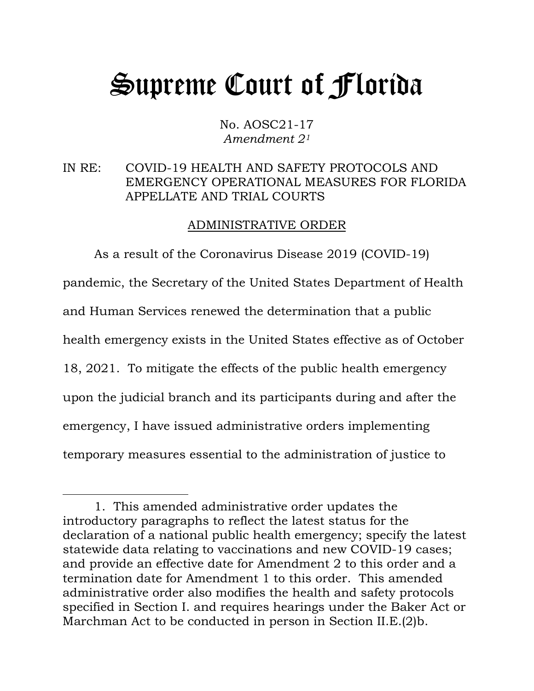## Supreme Court of Florida

No. AOSC21-17 *Amendment 2[1](#page-0-0)*

## IN RE: COVID-19 HEALTH AND SAFETY PROTOCOLS AND EMERGENCY OPERATIONAL MEASURES FOR FLORIDA APPELLATE AND TRIAL COURTS

## ADMINISTRATIVE ORDER

As a result of the Coronavirus Disease 2019 (COVID-19) pandemic, the Secretary of the United States Department of Health and Human Services renewed the determination that a public health emergency exists in the United States effective as of October 18, 2021. To mitigate the effects of the public health emergency upon the judicial branch and its participants during and after the emergency, I have issued administrative orders implementing temporary measures essential to the administration of justice to

<span id="page-0-0"></span><sup>1.</sup> This amended administrative order updates the introductory paragraphs to reflect the latest status for the declaration of a national public health emergency; specify the latest statewide data relating to vaccinations and new COVID-19 cases; and provide an effective date for Amendment 2 to this order and a termination date for Amendment 1 to this order. This amended administrative order also modifies the health and safety protocols specified in Section I. and requires hearings under the Baker Act or Marchman Act to be conducted in person in Section II.E.(2)b.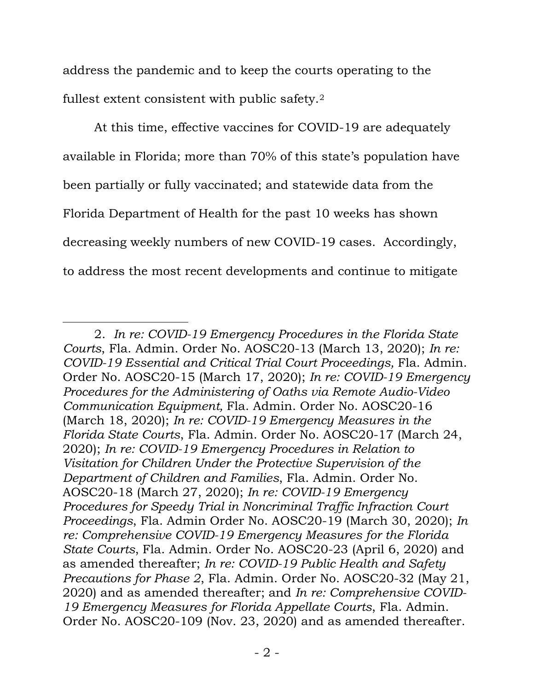address the pandemic and to keep the courts operating to the fullest extent consistent with public safety.[2](#page-1-0)

At this time, effective vaccines for COVID-19 are adequately available in Florida; more than 70% of this state's population have been partially or fully vaccinated; and statewide data from the Florida Department of Health for the past 10 weeks has shown decreasing weekly numbers of new COVID-19 cases. Accordingly, to address the most recent developments and continue to mitigate

<span id="page-1-0"></span><sup>2.</sup> *In re: COVID-19 Emergency Procedures in the Florida State Courts*, Fla. Admin. Order No. AOSC20-13 (March 13, 2020); *In re: COVID-19 Essential and Critical Trial Court Proceedings,* Fla. Admin. Order No. AOSC20-15 (March 17, 2020); *In re: COVID-19 Emergency Procedures for the Administering of Oaths via Remote Audio-Video Communication Equipment,* Fla. Admin. Order No. AOSC20-16 (March 18, 2020); *In re: COVID-19 Emergency Measures in the Florida State Courts*, Fla. Admin. Order No. AOSC20-17 (March 24, 2020); *In re: COVID-19 Emergency Procedures in Relation to Visitation for Children Under the Protective Supervision of the Department of Children and Families*, Fla. Admin. Order No. AOSC20-18 (March 27, 2020); *In re: COVID-19 Emergency Procedures for Speedy Trial in Noncriminal Traffic Infraction Court Proceedings*, Fla. Admin Order No. AOSC20-19 (March 30, 2020); *In re: Comprehensive COVID-19 Emergency Measures for the Florida State Courts*, Fla. Admin. Order No. AOSC20-23 (April 6, 2020) and as amended thereafter; *In re: COVID-19 Public Health and Safety Precautions for Phase 2*, Fla. Admin. Order No. AOSC20-32 (May 21, 2020) and as amended thereafter; and *In re: Comprehensive COVID-19 Emergency Measures for Florida Appellate Courts*, Fla. Admin. Order No. AOSC20-109 (Nov. 23, 2020) and as amended thereafter.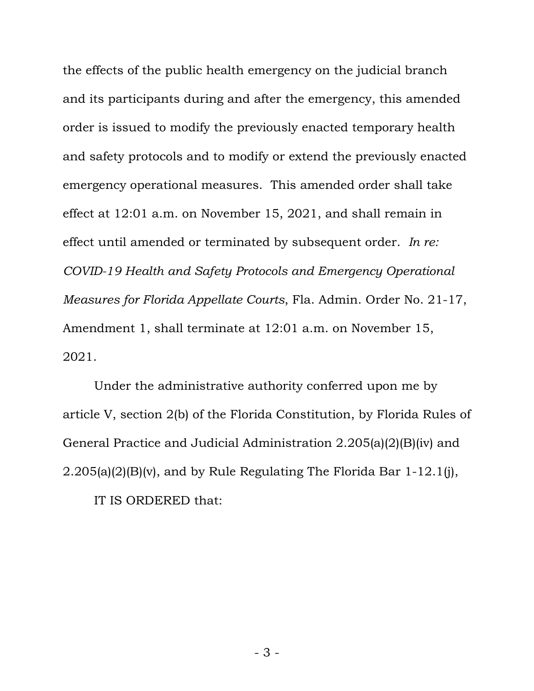the effects of the public health emergency on the judicial branch and its participants during and after the emergency, this amended order is issued to modify the previously enacted temporary health and safety protocols and to modify or extend the previously enacted emergency operational measures. This amended order shall take effect at 12:01 a.m. on November 15, 2021, and shall remain in effect until amended or terminated by subsequent order. *In re: COVID-19 Health and Safety Protocols and Emergency Operational Measures for Florida Appellate Courts*, Fla. Admin. Order No. 21-17, Amendment 1, shall terminate at 12:01 a.m. on November 15, 2021.

Under the administrative authority conferred upon me by article V, section 2(b) of the Florida Constitution, by Florida Rules of General Practice and Judicial Administration 2.205(a)(2)(B)(iv) and 2.205(a)(2)(B)(v), and by Rule Regulating The Florida Bar 1-12.1(j), IT IS ORDERED that: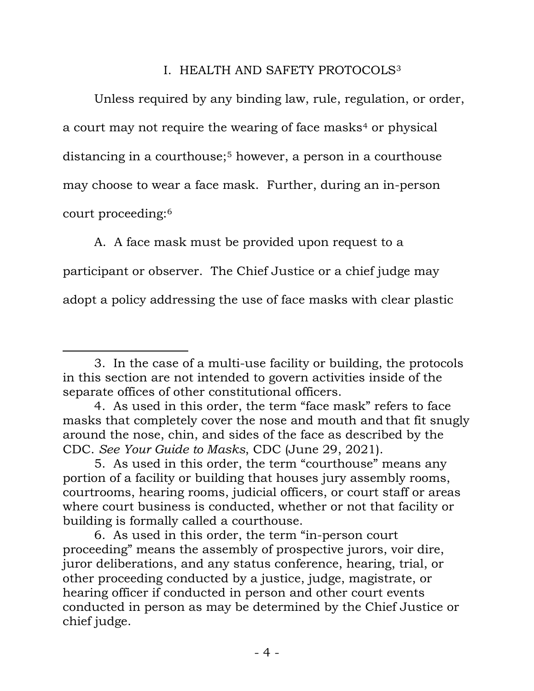## I. HEALTH AND SAFETY PROTOCOLS[3](#page-3-0)

Unless required by any binding law, rule, regulation, or order, a court may not require the wearing of face masks<sup>[4](#page-3-1)</sup> or physical distancing in a courthouse;<sup>[5](#page-3-2)</sup> however, a person in a courthouse may choose to wear a face mask. Further, during an in-person court proceeding:[6](#page-3-3)

A. A face mask must be provided upon request to a participant or observer. The Chief Justice or a chief judge may adopt a policy addressing the use of face masks with clear plastic

<span id="page-3-0"></span><sup>3.</sup> In the case of a multi-use facility or building, the protocols in this section are not intended to govern activities inside of the separate offices of other constitutional officers.

<span id="page-3-1"></span><sup>4.</sup> As used in this order, the term "face mask" refers to face masks that completely cover the nose and mouth and that fit snugly around the nose, chin, and sides of the face as described by the CDC. *See Your Guide to Masks*, CDC (June 29, 2021).

<span id="page-3-2"></span><sup>5.</sup> As used in this order, the term "courthouse" means any portion of a facility or building that houses jury assembly rooms, courtrooms, hearing rooms, judicial officers, or court staff or areas where court business is conducted, whether or not that facility or building is formally called a courthouse.

<span id="page-3-3"></span><sup>6.</sup> As used in this order, the term "in-person court proceeding" means the assembly of prospective jurors, voir dire, juror deliberations, and any status conference, hearing, trial, or other proceeding conducted by a justice, judge, magistrate, or hearing officer if conducted in person and other court events conducted in person as may be determined by the Chief Justice or chief judge.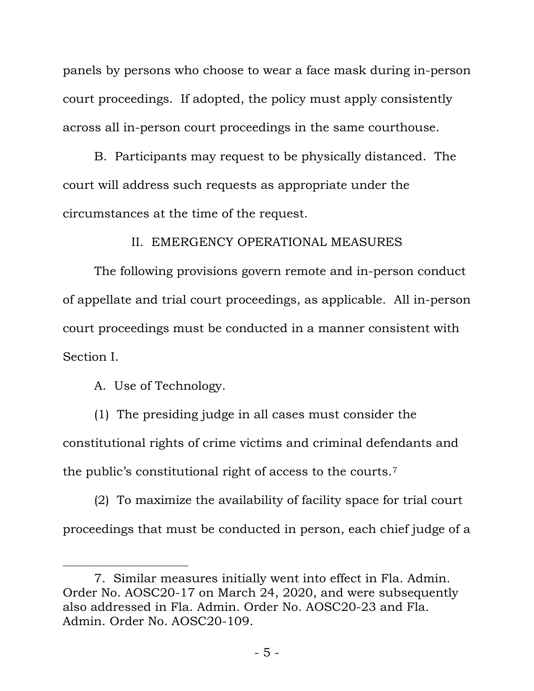panels by persons who choose to wear a face mask during in-person court proceedings. If adopted, the policy must apply consistently across all in-person court proceedings in the same courthouse.

B. Participants may request to be physically distanced. The court will address such requests as appropriate under the circumstances at the time of the request.

II. EMERGENCY OPERATIONAL MEASURES

The following provisions govern remote and in-person conduct of appellate and trial court proceedings, as applicable. All in-person court proceedings must be conducted in a manner consistent with Section I.

A. Use of Technology.

(1) The presiding judge in all cases must consider the constitutional rights of crime victims and criminal defendants and the public's constitutional right of access to the courts.[7](#page-4-0)

(2) To maximize the availability of facility space for trial court proceedings that must be conducted in person, each chief judge of a

<span id="page-4-0"></span><sup>7.</sup> Similar measures initially went into effect in Fla. Admin. Order No. AOSC20-17 on March 24, 2020, and were subsequently also addressed in Fla. Admin. Order No. AOSC20-23 and Fla. Admin. Order No. AOSC20-109.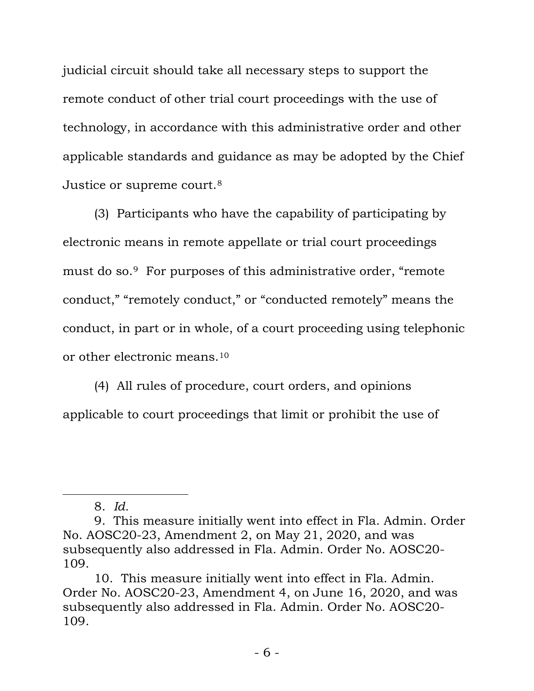judicial circuit should take all necessary steps to support the remote conduct of other trial court proceedings with the use of technology, in accordance with this administrative order and other applicable standards and guidance as may be adopted by the Chief Justice or supreme court.[8](#page-5-0)

(3) Participants who have the capability of participating by electronic means in remote appellate or trial court proceedings must do so.[9](#page-5-1) For purposes of this administrative order, "remote conduct," "remotely conduct," or "conducted remotely" means the conduct, in part or in whole, of a court proceeding using telephonic or other electronic means[.10](#page-5-2)

(4) All rules of procedure, court orders, and opinions applicable to court proceedings that limit or prohibit the use of

<sup>8.</sup> *Id.*

<span id="page-5-1"></span><span id="page-5-0"></span><sup>9.</sup> This measure initially went into effect in Fla. Admin. Order No. AOSC20-23, Amendment 2, on May 21, 2020, and was subsequently also addressed in Fla. Admin. Order No. AOSC20- 109.

<span id="page-5-2"></span><sup>10.</sup> This measure initially went into effect in Fla. Admin. Order No. AOSC20-23, Amendment 4, on June 16, 2020, and was subsequently also addressed in Fla. Admin. Order No. AOSC20- 109.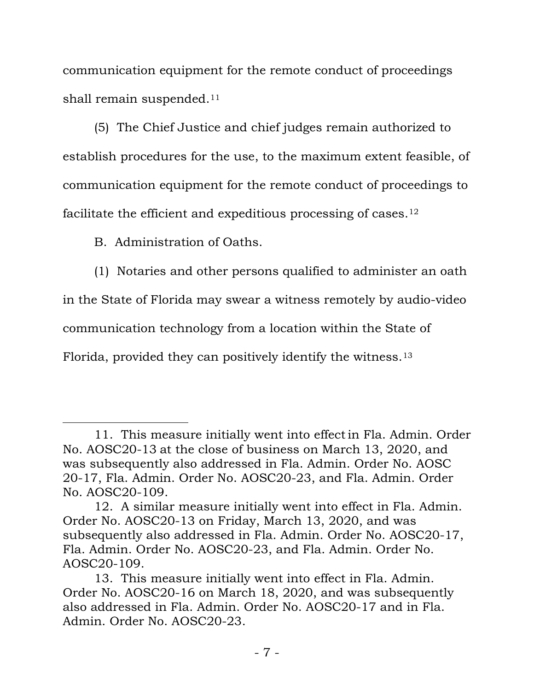communication equipment for the remote conduct of proceedings shall remain suspended.<sup>[11](#page-6-0)</sup>

(5) The Chief Justice and chief judges remain authorized to establish procedures for the use, to the maximum extent feasible, of communication equipment for the remote conduct of proceedings to facilitate the efficient and expeditious processing of cases.[12](#page-6-1)

B. Administration of Oaths.

(1) Notaries and other persons qualified to administer an oath

in the State of Florida may swear a witness remotely by audio-video

communication technology from a location within the State of

Florida, provided they can positively identify the witness.[13](#page-6-2)

<span id="page-6-0"></span><sup>11.</sup> This measure initially went into effectin Fla. Admin. Order No. AOSC20-13 at the close of business on March 13, 2020, and was subsequently also addressed in Fla. Admin. Order No. AOSC 20-17, Fla. Admin. Order No. AOSC20-23, and Fla. Admin. Order No. AOSC20-109.

<span id="page-6-1"></span><sup>12.</sup> A similar measure initially went into effect in Fla. Admin. Order No. AOSC20-13 on Friday, March 13, 2020, and was subsequently also addressed in Fla. Admin. Order No. AOSC20-17, Fla. Admin. Order No. AOSC20-23, and Fla. Admin. Order No. AOSC20-109.

<span id="page-6-2"></span><sup>13.</sup> This measure initially went into effect in Fla. Admin. Order No. AOSC20-16 on March 18, 2020, and was subsequently also addressed in Fla. Admin. Order No. AOSC20-17 and in Fla. Admin. Order No. AOSC20-23.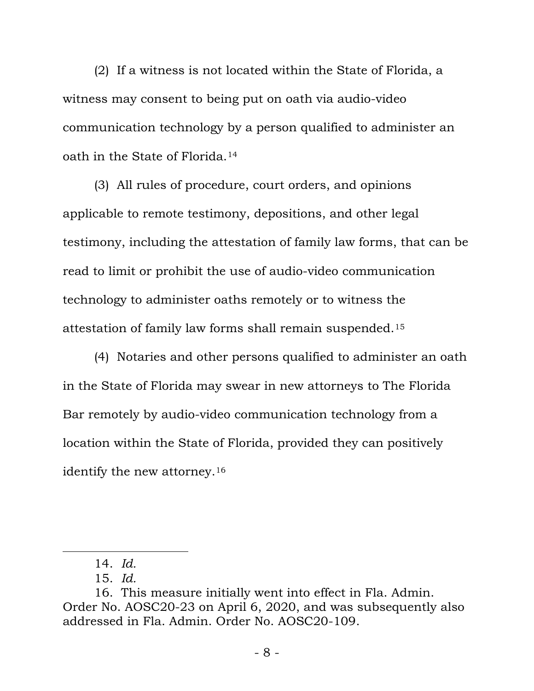(2) If a witness is not located within the State of Florida, a witness may consent to being put on oath via audio-video communication technology by a person qualified to administer an oath in the State of Florida.[14](#page-7-0)

(3) All rules of procedure, court orders, and opinions applicable to remote testimony, depositions, and other legal testimony, including the attestation of family law forms, that can be read to limit or prohibit the use of audio-video communication technology to administer oaths remotely or to witness the attestation of family law forms shall remain suspended.[15](#page-7-1)

(4) Notaries and other persons qualified to administer an oath in the State of Florida may swear in new attorneys to The Florida Bar remotely by audio-video communication technology from a location within the State of Florida, provided they can positively identify the new attorney.[16](#page-7-2)

<sup>14.</sup> *Id.*

<sup>15.</sup> *Id.*

<span id="page-7-2"></span><span id="page-7-1"></span><span id="page-7-0"></span><sup>16.</sup> This measure initially went into effect in Fla. Admin. Order No. AOSC20-23 on April 6, 2020, and was subsequently also addressed in Fla. Admin. Order No. AOSC20-109.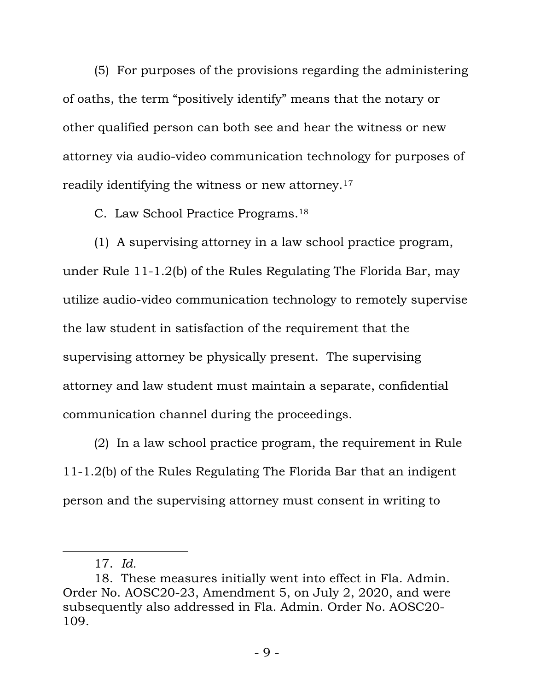(5) For purposes of the provisions regarding the administering of oaths, the term "positively identify" means that the notary or other qualified person can both see and hear the witness or new attorney via audio-video communication technology for purposes of readily identifying the witness or new attorney.[17](#page-8-0)

C. Law School Practice Programs.[18](#page-8-1)

(1) A supervising attorney in a law school practice program, under Rule 11-1.2(b) of the Rules Regulating The Florida Bar, may utilize audio-video communication technology to remotely supervise the law student in satisfaction of the requirement that the supervising attorney be physically present. The supervising attorney and law student must maintain a separate, confidential communication channel during the proceedings.

(2) In a law school practice program, the requirement in Rule 11-1.2(b) of the Rules Regulating The Florida Bar that an indigent person and the supervising attorney must consent in writing to

<sup>17.</sup> *Id.*

<span id="page-8-1"></span><span id="page-8-0"></span><sup>18.</sup> These measures initially went into effect in Fla. Admin. Order No. AOSC20-23, Amendment 5, on July 2, 2020, and were subsequently also addressed in Fla. Admin. Order No. AOSC20- 109.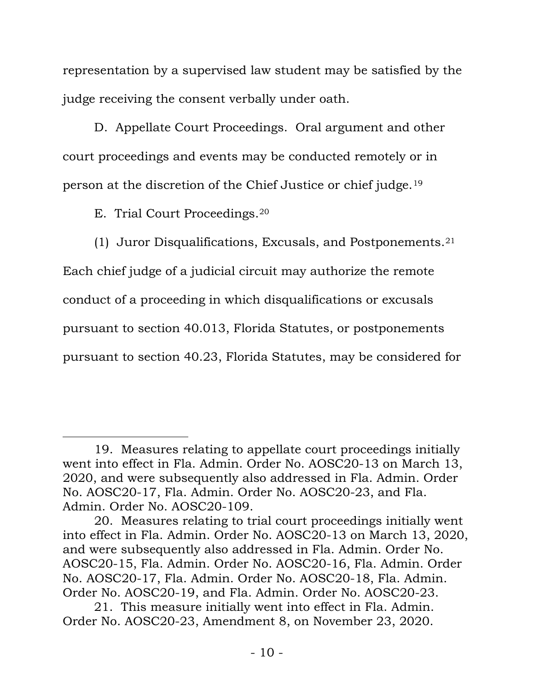representation by a supervised law student may be satisfied by the judge receiving the consent verbally under oath.

D. Appellate Court Proceedings. Oral argument and other court proceedings and events may be conducted remotely or in person at the discretion of the Chief Justice or chief judge.[19](#page-9-0)

E. Trial Court Proceedings[.20](#page-9-1)

(1) Juror Disqualifications, Excusals, and Postponements.[21](#page-9-2) Each chief judge of a judicial circuit may authorize the remote conduct of a proceeding in which disqualifications or excusals pursuant to section 40.013, Florida Statutes, or postponements pursuant to section 40.23, Florida Statutes, may be considered for

<span id="page-9-0"></span><sup>19.</sup> Measures relating to appellate court proceedings initially went into effect in Fla. Admin. Order No. AOSC20-13 on March 13, 2020, and were subsequently also addressed in Fla. Admin. Order No. AOSC20-17, Fla. Admin. Order No. AOSC20-23, and Fla. Admin. Order No. AOSC20-109.

<span id="page-9-1"></span><sup>20.</sup> Measures relating to trial court proceedings initially went into effect in Fla. Admin. Order No. AOSC20-13 on March 13, 2020, and were subsequently also addressed in Fla. Admin. Order No. AOSC20-15, Fla. Admin. Order No. AOSC20-16, Fla. Admin. Order No. AOSC20-17, Fla. Admin. Order No. AOSC20-18, Fla. Admin. Order No. AOSC20-19, and Fla. Admin. Order No. AOSC20-23.

<span id="page-9-2"></span><sup>21.</sup> This measure initially went into effect in Fla. Admin. Order No. AOSC20-23, Amendment 8, on November 23, 2020.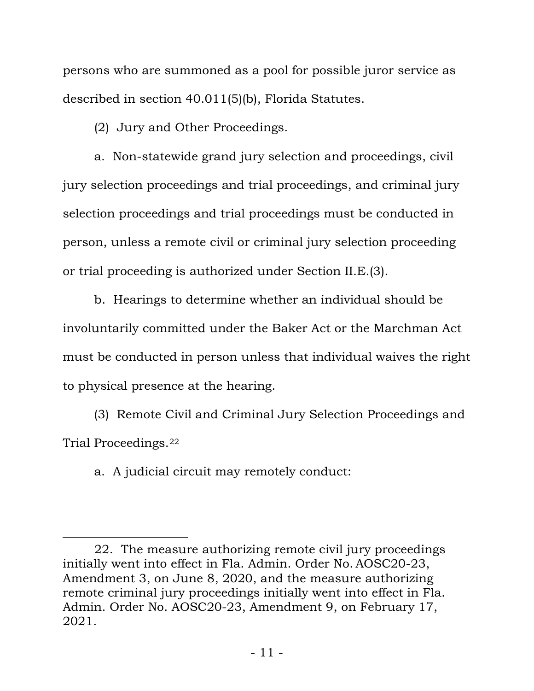persons who are summoned as a pool for possible juror service as described in section 40.011(5)(b), Florida Statutes.

(2) Jury and Other Proceedings.

a. Non-statewide grand jury selection and proceedings, civil jury selection proceedings and trial proceedings, and criminal jury selection proceedings and trial proceedings must be conducted in person, unless a remote civil or criminal jury selection proceeding or trial proceeding is authorized under Section II.E.(3).

b. Hearings to determine whether an individual should be involuntarily committed under the Baker Act or the Marchman Act must be conducted in person unless that individual waives the right to physical presence at the hearing.

(3) Remote Civil and Criminal Jury Selection Proceedings and Trial Proceedings.[22](#page-10-0)

a. A judicial circuit may remotely conduct:

<span id="page-10-0"></span><sup>22.</sup> The measure authorizing remote civil jury proceedings initially went into effect in Fla. Admin. Order No. AOSC20-23, Amendment 3, on June 8, 2020, and the measure authorizing remote criminal jury proceedings initially went into effect in Fla. Admin. Order No. AOSC20-23, Amendment 9, on February 17, 2021.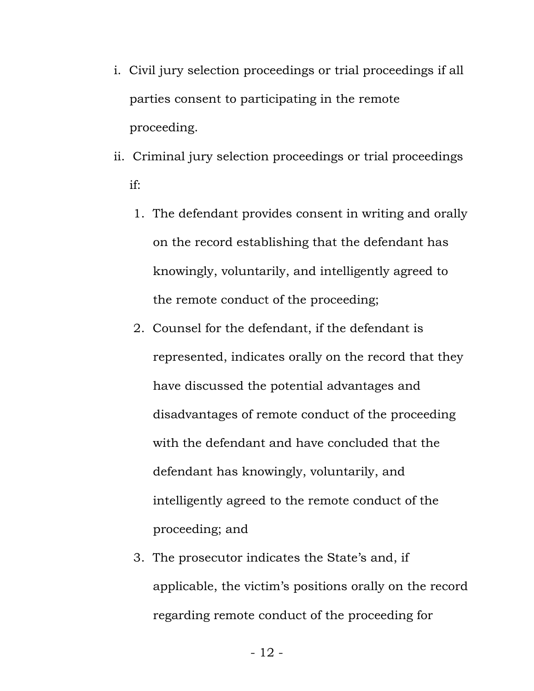- i. Civil jury selection proceedings or trial proceedings if all parties consent to participating in the remote proceeding.
- ii. Criminal jury selection proceedings or trial proceedings if:
	- 1. The defendant provides consent in writing and orally on the record establishing that the defendant has knowingly, voluntarily, and intelligently agreed to the remote conduct of the proceeding;
	- 2. Counsel for the defendant, if the defendant is represented, indicates orally on the record that they have discussed the potential advantages and disadvantages of remote conduct of the proceeding with the defendant and have concluded that the defendant has knowingly, voluntarily, and intelligently agreed to the remote conduct of the proceeding; and
	- 3. The prosecutor indicates the State's and, if applicable, the victim's positions orally on the record regarding remote conduct of the proceeding for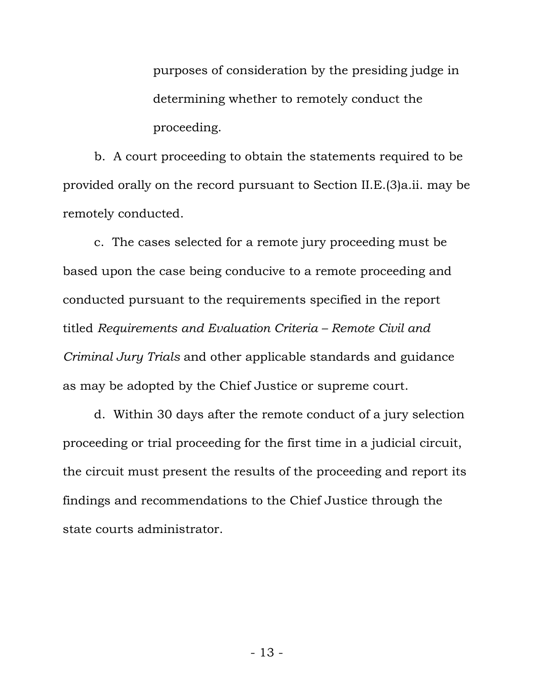purposes of consideration by the presiding judge in determining whether to remotely conduct the proceeding.

b. A court proceeding to obtain the statements required to be provided orally on the record pursuant to Section II.E.(3)a.ii. may be remotely conducted.

c. The cases selected for a remote jury proceeding must be based upon the case being conducive to a remote proceeding and conducted pursuant to the requirements specified in the report titled *Requirements and Evaluation Criteria – Remote Civil and Criminal Jury Trials* and other applicable standards and guidance as may be adopted by the Chief Justice or supreme court.

d. Within 30 days after the remote conduct of a jury selection proceeding or trial proceeding for the first time in a judicial circuit, the circuit must present the results of the proceeding and report its findings and recommendations to the Chief Justice through the state courts administrator.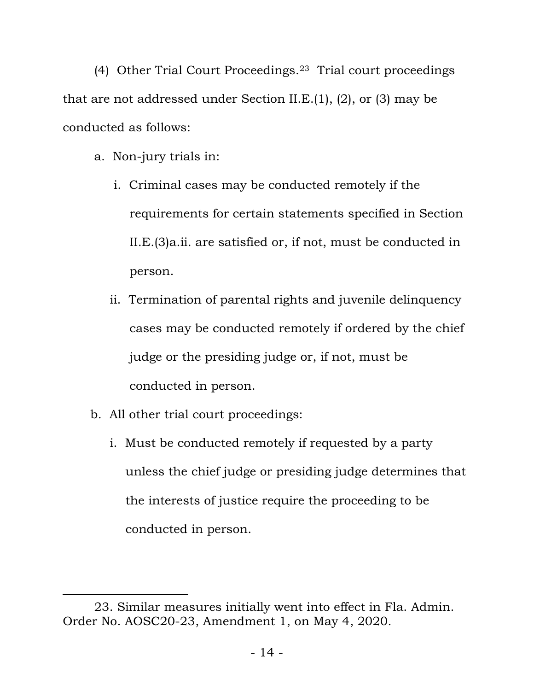(4) Other Trial Court Proceedings.[23](#page-13-0) Trial court proceedings that are not addressed under Section II.E.(1), (2), or (3) may be conducted as follows:

- a. Non-jury trials in:
	- i. Criminal cases may be conducted remotely if the requirements for certain statements specified in Section II.E.(3)a.ii. are satisfied or, if not, must be conducted in person.
	- ii. Termination of parental rights and juvenile delinquency cases may be conducted remotely if ordered by the chief judge or the presiding judge or, if not, must be conducted in person.
- b. All other trial court proceedings:
	- i. Must be conducted remotely if requested by a party unless the chief judge or presiding judge determines that the interests of justice require the proceeding to be conducted in person.

<span id="page-13-0"></span><sup>23.</sup> Similar measures initially went into effect in Fla. Admin. Order No. AOSC20-23, Amendment 1, on May 4, 2020.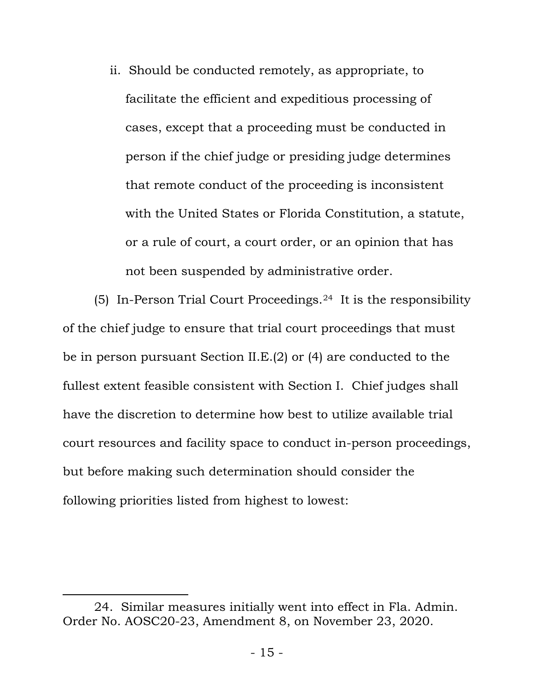ii. Should be conducted remotely, as appropriate, to facilitate the efficient and expeditious processing of cases, except that a proceeding must be conducted in person if the chief judge or presiding judge determines that remote conduct of the proceeding is inconsistent with the United States or Florida Constitution, a statute, or a rule of court, a court order, or an opinion that has not been suspended by administrative order.

(5) In-Person Trial Court Proceedings.[24](#page-14-0) It is the responsibility of the chief judge to ensure that trial court proceedings that must be in person pursuant Section II.E.(2) or (4) are conducted to the fullest extent feasible consistent with Section I. Chief judges shall have the discretion to determine how best to utilize available trial court resources and facility space to conduct in-person proceedings, but before making such determination should consider the following priorities listed from highest to lowest:

<span id="page-14-0"></span><sup>24.</sup> Similar measures initially went into effect in Fla. Admin. Order No. AOSC20-23, Amendment 8, on November 23, 2020.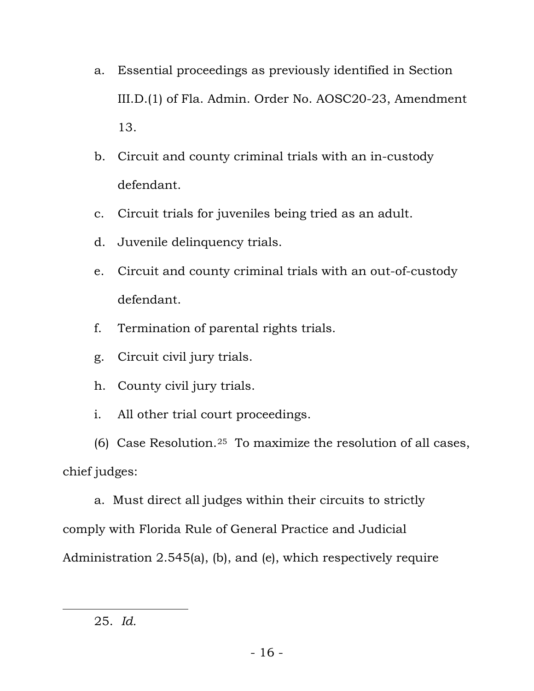- a. Essential proceedings as previously identified in Section III.D.(1) of Fla. Admin. Order No. AOSC20-23, Amendment 13.
- b. Circuit and county criminal trials with an in-custody defendant.
- c. Circuit trials for juveniles being tried as an adult.
- d. Juvenile delinquency trials.
- e. Circuit and county criminal trials with an out-of-custody defendant.
- f. Termination of parental rights trials.
- g. Circuit civil jury trials.
- h. County civil jury trials.
- i. All other trial court proceedings.

(6) Case Resolution.<sup>25</sup> To maximize the resolution of all cases, chief judges:

a. Must direct all judges within their circuits to strictly comply with Florida Rule of General Practice and Judicial Administration 2.545(a), (b), and (e), which respectively require

<span id="page-15-0"></span><sup>25.</sup> *Id.*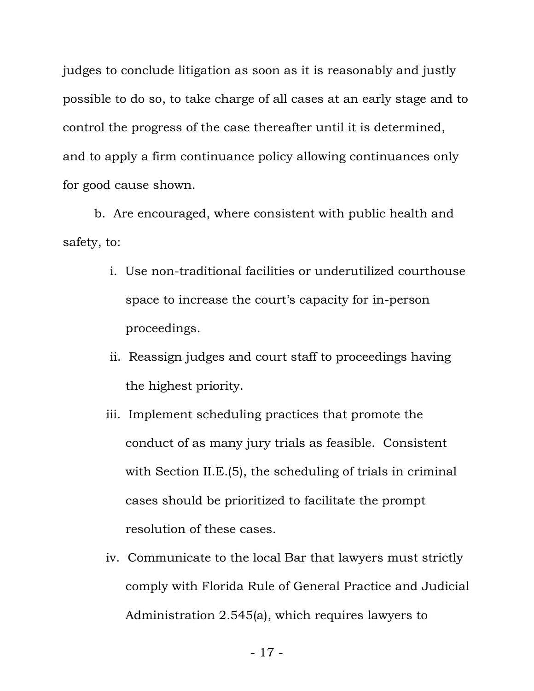judges to conclude litigation as soon as it is reasonably and justly possible to do so, to take charge of all cases at an early stage and to control the progress of the case thereafter until it is determined, and to apply a firm continuance policy allowing continuances only for good cause shown.

b. Are encouraged, where consistent with public health and safety, to:

- i. Use non-traditional facilities or underutilized courthouse space to increase the court's capacity for in-person proceedings.
- ii. Reassign judges and court staff to proceedings having the highest priority.
- iii. Implement scheduling practices that promote the conduct of as many jury trials as feasible. Consistent with Section II.E.(5), the scheduling of trials in criminal cases should be prioritized to facilitate the prompt resolution of these cases.
- iv. Communicate to the local Bar that lawyers must strictly comply with Florida Rule of General Practice and Judicial Administration 2.545(a), which requires lawyers to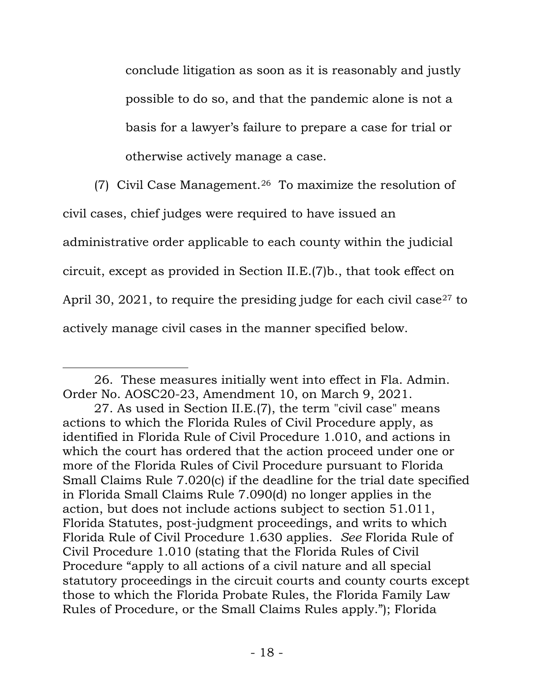conclude litigation as soon as it is reasonably and justly possible to do so, and that the pandemic alone is not a basis for a lawyer's failure to prepare a case for trial or otherwise actively manage a case.

(7) Civil Case Management.<sup>26</sup> To maximize the resolution of

civil cases, chief judges were required to have issued an

administrative order applicable to each county within the judicial

circuit, except as provided in Section II.E.(7)b., that took effect on

April 30, 2021, to require the presiding judge for each civil case<sup>[27](#page-17-1)</sup> to

actively manage civil cases in the manner specified below.

<span id="page-17-0"></span><sup>26.</sup> These measures initially went into effect in Fla. Admin. Order No. AOSC20-23, Amendment 10, on March 9, 2021.

<span id="page-17-1"></span><sup>27.</sup> As used in Section II.E.(7), the term "civil case" means actions to which the Florida Rules of Civil Procedure apply, as identified in Florida Rule of Civil Procedure 1.010, and actions in which the court has ordered that the action proceed under one or more of the Florida Rules of Civil Procedure pursuant to Florida Small Claims Rule 7.020(c) if the deadline for the trial date specified in Florida Small Claims Rule 7.090(d) no longer applies in the action, but does not include actions subject to section 51.011, Florida Statutes, post-judgment proceedings, and writs to which Florida Rule of Civil Procedure 1.630 applies. *See* Florida Rule of Civil Procedure 1.010 (stating that the Florida Rules of Civil Procedure "apply to all actions of a civil nature and all special statutory proceedings in the circuit courts and county courts except those to which the Florida Probate Rules, the Florida Family Law Rules of Procedure, or the Small Claims Rules apply."); Florida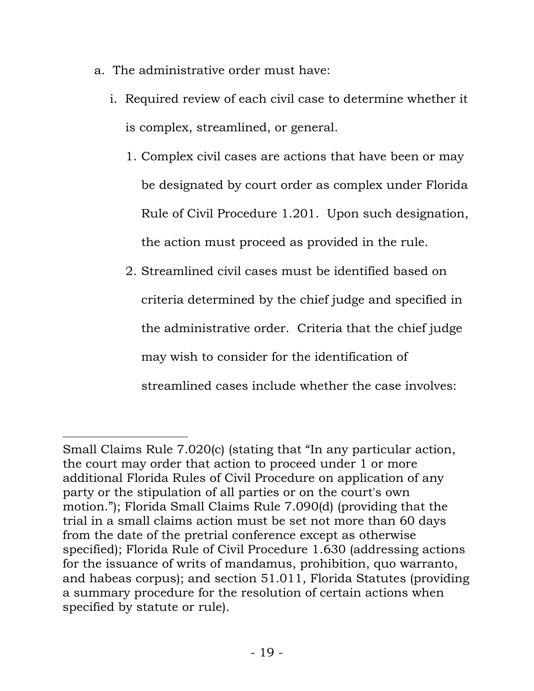- a. The administrative order must have:
	- i. Required review of each civil case to determine whether it is complex, streamlined, or general.
		- 1. Complex civil cases are actions that have been or may be designated by court order as complex under Florida Rule of Civil Procedure 1.201. Upon such designation, the action must proceed as provided in the rule.
		- 2. Streamlined civil cases must be identified based on criteria determined by the chief judge and specified in the administrative order. Criteria that the chief judge may wish to consider for the identification of streamlined cases include whether the case involves:

Small Claims Rule 7.020(c) (stating that "In any particular action, the court may order that action to proceed under 1 or more additional Florida Rules of Civil Procedure on application of any party or the stipulation of all parties or on the court's own motion."); Florida Small Claims Rule 7.090(d) (providing that the trial in a small claims action must be set not more than 60 days from the date of the pretrial conference except as otherwise specified); Florida Rule of Civil Procedure 1.630 (addressing actions for the issuance of writs of mandamus, prohibition, quo warranto, and habeas corpus); and section 51.011, Florida Statutes (providing a summary procedure for the resolution of certain actions when specified by statute or rule).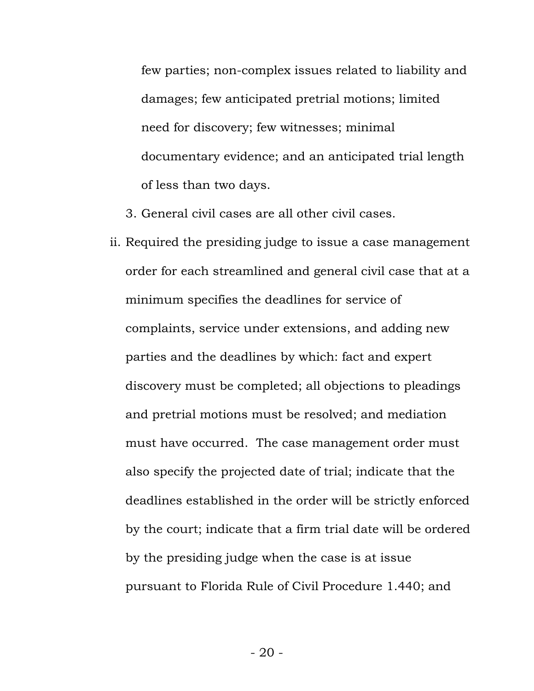few parties; non-complex issues related to liability and damages; few anticipated pretrial motions; limited need for discovery; few witnesses; minimal documentary evidence; and an anticipated trial length of less than two days.

3. General civil cases are all other civil cases.

ii. Required the presiding judge to issue a case management order for each streamlined and general civil case that at a minimum specifies the deadlines for service of complaints, service under extensions, and adding new parties and the deadlines by which: fact and expert discovery must be completed; all objections to pleadings and pretrial motions must be resolved; and mediation must have occurred. The case management order must also specify the projected date of trial; indicate that the deadlines established in the order will be strictly enforced by the court; indicate that a firm trial date will be ordered by the presiding judge when the case is at issue pursuant to Florida Rule of Civil Procedure 1.440; and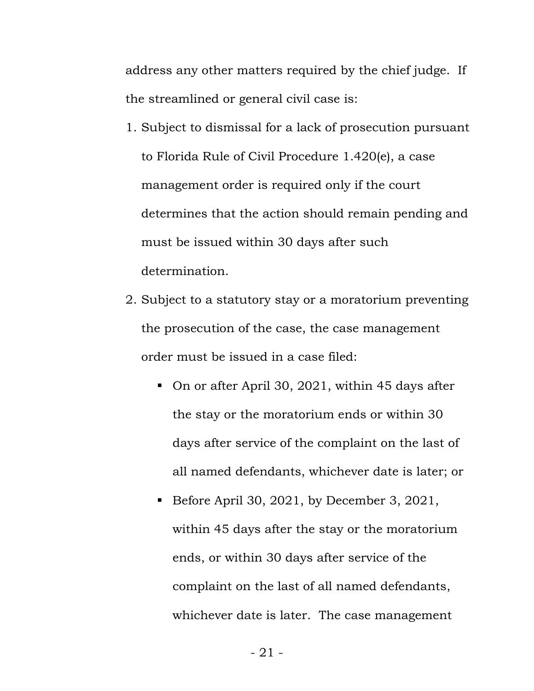address any other matters required by the chief judge. If the streamlined or general civil case is:

- 1. Subject to dismissal for a lack of prosecution pursuant to Florida Rule of Civil Procedure 1.420(e), a case management order is required only if the court determines that the action should remain pending and must be issued within 30 days after such determination.
- 2. Subject to a statutory stay or a moratorium preventing the prosecution of the case, the case management order must be issued in a case filed:
	- On or after April 30, 2021, within 45 days after the stay or the moratorium ends or within 30 days after service of the complaint on the last of all named defendants, whichever date is later; or
	- Before April 30, 2021, by December 3, 2021, within 45 days after the stay or the moratorium ends, or within 30 days after service of the complaint on the last of all named defendants, whichever date is later. The case management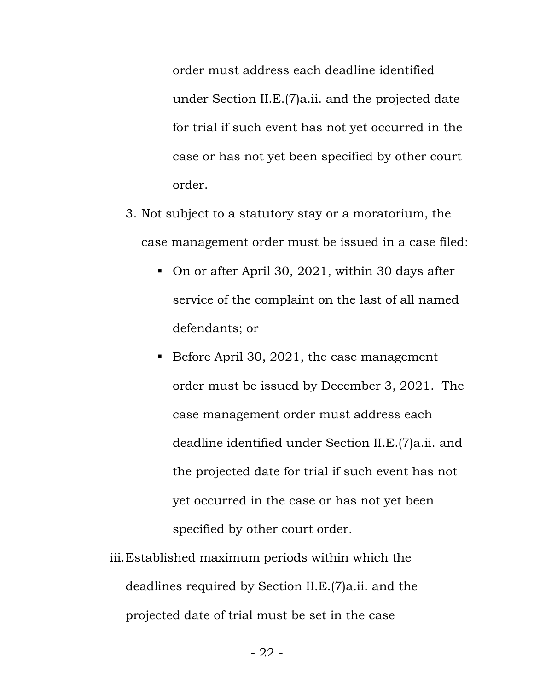order must address each deadline identified under Section II.E.(7)a.ii. and the projected date for trial if such event has not yet occurred in the case or has not yet been specified by other court order.

- 3. Not subject to a statutory stay or a moratorium, the case management order must be issued in a case filed:
	- On or after April 30, 2021, within 30 days after service of the complaint on the last of all named defendants; or
	- Before April 30, 2021, the case management order must be issued by December 3, 2021. The case management order must address each deadline identified under Section II.E.(7)a.ii. and the projected date for trial if such event has not yet occurred in the case or has not yet been specified by other court order.
- iii.Established maximum periods within which the deadlines required by Section II.E.(7)a.ii. and the projected date of trial must be set in the case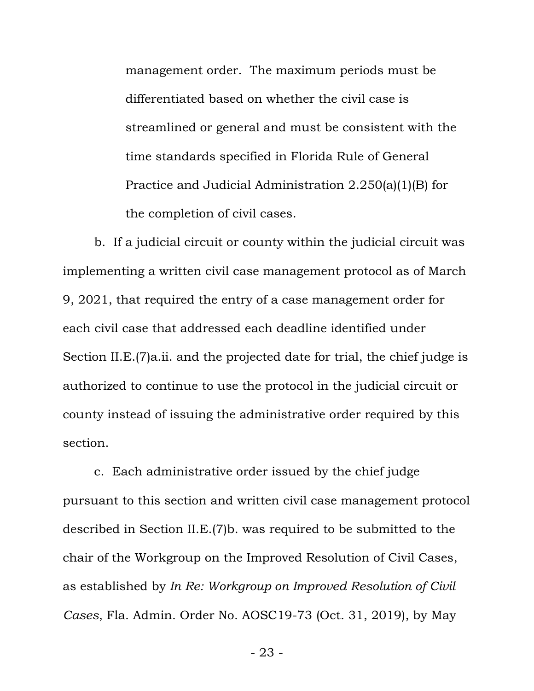management order. The maximum periods must be differentiated based on whether the civil case is streamlined or general and must be consistent with the time standards specified in Florida Rule of General Practice and Judicial Administration 2.250(a)(1)(B) for the completion of civil cases.

b. If a judicial circuit or county within the judicial circuit was implementing a written civil case management protocol as of March 9, 2021, that required the entry of a case management order for each civil case that addressed each deadline identified under Section II.E.(7)a.ii. and the projected date for trial, the chief judge is authorized to continue to use the protocol in the judicial circuit or county instead of issuing the administrative order required by this section.

c. Each administrative order issued by the chief judge pursuant to this section and written civil case management protocol described in Section II.E.(7)b. was required to be submitted to the chair of the Workgroup on the Improved Resolution of Civil Cases, as established by *In Re: Workgroup on Improved Resolution of Civil Cases*, Fla. Admin. Order No. AOSC19-73 (Oct. 31, 2019), by May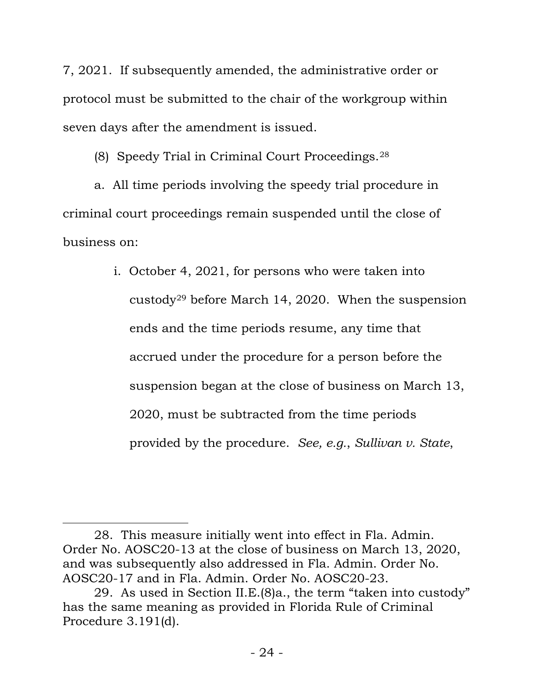7, 2021. If subsequently amended, the administrative order or protocol must be submitted to the chair of the workgroup within seven days after the amendment is issued.

(8) Speedy Trial in Criminal Court Proceedings.[28](#page-23-0)

a. All time periods involving the speedy trial procedure in criminal court proceedings remain suspended until the close of business on:

> i. October 4, 2021, for persons who were taken into custody[29](#page-23-1) before March 14, 2020. When the suspension ends and the time periods resume, any time that accrued under the procedure for a person before the suspension began at the close of business on March 13, 2020, must be subtracted from the time periods provided by the procedure. *See, e.g.*, *Sullivan v. State*,

<span id="page-23-0"></span><sup>28.</sup> This measure initially went into effect in Fla. Admin. Order No. AOSC20-13 at the close of business on March 13, 2020, and was subsequently also addressed in Fla. Admin. Order No. AOSC20-17 and in Fla. Admin. Order No. AOSC20-23.

<span id="page-23-1"></span><sup>29.</sup> As used in Section II.E.(8)a., the term "taken into custody" has the same meaning as provided in Florida Rule of Criminal Procedure 3.191(d).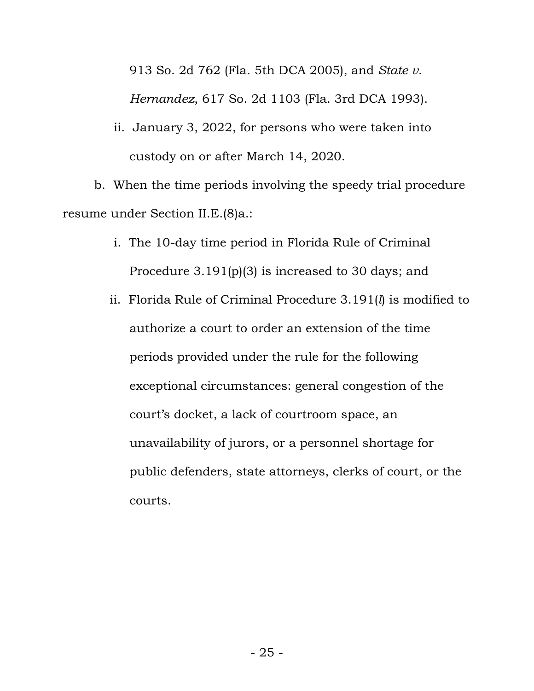913 So. 2d 762 (Fla. 5th DCA 2005), and *State v.*

*Hernandez*, 617 So. 2d 1103 (Fla. 3rd DCA 1993).

ii. January 3, 2022, for persons who were taken into custody on or after March 14, 2020.

b. When the time periods involving the speedy trial procedure resume under Section II.E.(8)a.:

- i. The 10-day time period in Florida Rule of Criminal Procedure 3.191(p)(3) is increased to 30 days; and
- ii. Florida Rule of Criminal Procedure 3.191(*l*) is modified to authorize a court to order an extension of the time periods provided under the rule for the following exceptional circumstances: general congestion of the court's docket, a lack of courtroom space, an unavailability of jurors, or a personnel shortage for public defenders, state attorneys, clerks of court, or the courts.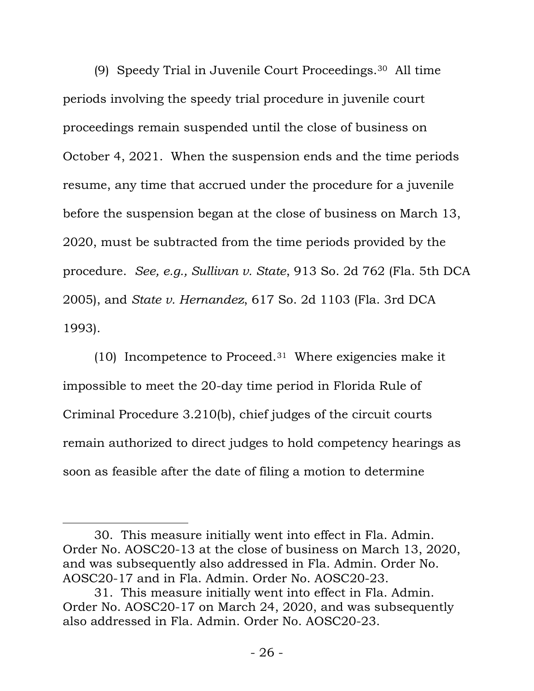(9) Speedy Trial in Juvenile Court Proceedings.[30](#page-25-0) All time periods involving the speedy trial procedure in juvenile court proceedings remain suspended until the close of business on October 4, 2021. When the suspension ends and the time periods resume, any time that accrued under the procedure for a juvenile before the suspension began at the close of business on March 13, 2020, must be subtracted from the time periods provided by the procedure. *See, e.g., Sullivan v. State*, 913 So. 2d 762 (Fla. 5th DCA 2005), and *State v. Hernandez*, 617 So. 2d 1103 (Fla. 3rd DCA 1993).

(10) Incompetence to Proceed.<sup>31</sup> Where exigencies make it impossible to meet the 20-day time period in Florida Rule of Criminal Procedure 3.210(b), chief judges of the circuit courts remain authorized to direct judges to hold competency hearings as soon as feasible after the date of filing a motion to determine

<span id="page-25-0"></span><sup>30.</sup> This measure initially went into effect in Fla. Admin. Order No. AOSC20-13 at the close of business on March 13, 2020, and was subsequently also addressed in Fla. Admin. Order No. AOSC20-17 and in Fla. Admin. Order No. AOSC20-23.

<span id="page-25-1"></span><sup>31.</sup> This measure initially went into effect in Fla. Admin. Order No. AOSC20-17 on March 24, 2020, and was subsequently also addressed in Fla. Admin. Order No. AOSC20-23.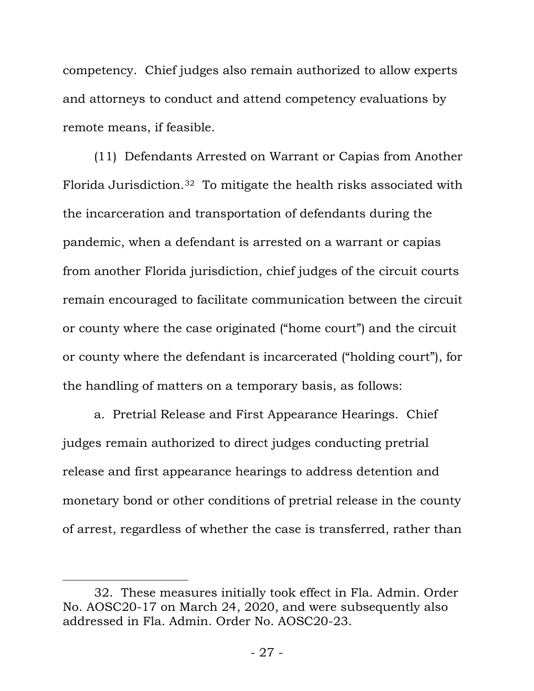competency. Chief judges also remain authorized to allow experts and attorneys to conduct and attend competency evaluations by remote means, if feasible.

(11) Defendants Arrested on Warrant or Capias from Another Florida Jurisdiction.3[2](#page-26-0) To mitigate the health risks associated with the incarceration and transportation of defendants during the pandemic, when a defendant is arrested on a warrant or capias from another Florida jurisdiction, chief judges of the circuit courts remain encouraged to facilitate communication between the circuit or county where the case originated ("home court") and the circuit or county where the defendant is incarcerated ("holding court"), for the handling of matters on a temporary basis, as follows:

a. Pretrial Release and First Appearance Hearings. Chief judges remain authorized to direct judges conducting pretrial release and first appearance hearings to address detention and monetary bond or other conditions of pretrial release in the county of arrest, regardless of whether the case is transferred, rather than

<span id="page-26-0"></span><sup>32.</sup> These measures initially took effect in Fla. Admin. Order No. AOSC20-17 on March 24, 2020, and were subsequently also addressed in Fla. Admin. Order No. AOSC20-23.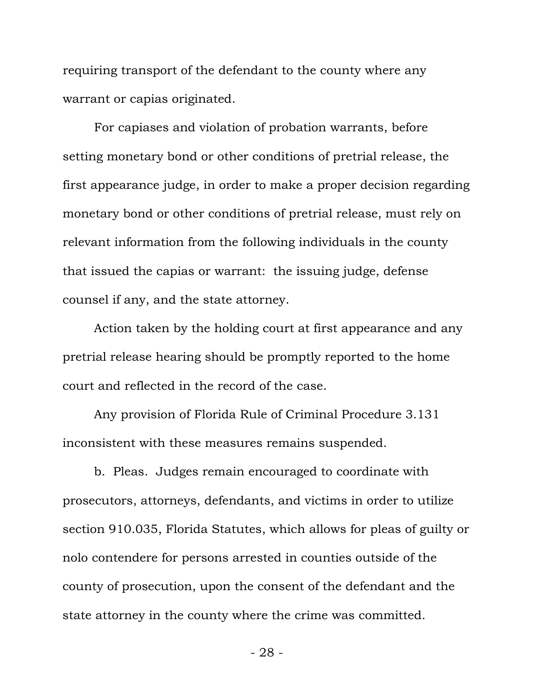requiring transport of the defendant to the county where any warrant or capias originated.

For capiases and violation of probation warrants, before setting monetary bond or other conditions of pretrial release, the first appearance judge, in order to make a proper decision regarding monetary bond or other conditions of pretrial release, must rely on relevant information from the following individuals in the county that issued the capias or warrant: the issuing judge, defense counsel if any, and the state attorney.

Action taken by the holding court at first appearance and any pretrial release hearing should be promptly reported to the home court and reflected in the record of the case.

Any provision of Florida Rule of Criminal Procedure 3.131 inconsistent with these measures remains suspended.

b. Pleas. Judges remain encouraged to coordinate with prosecutors, attorneys, defendants, and victims in order to utilize section 910.035, Florida Statutes, which allows for pleas of guilty or nolo contendere for persons arrested in counties outside of the county of prosecution, upon the consent of the defendant and the state attorney in the county where the crime was committed.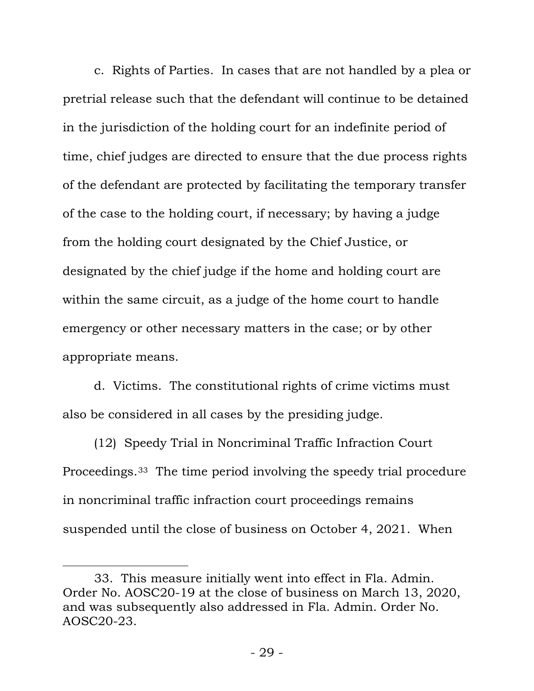c. Rights of Parties. In cases that are not handled by a plea or pretrial release such that the defendant will continue to be detained in the jurisdiction of the holding court for an indefinite period of time, chief judges are directed to ensure that the due process rights of the defendant are protected by facilitating the temporary transfer of the case to the holding court, if necessary; by having a judge from the holding court designated by the Chief Justice, or designated by the chief judge if the home and holding court are within the same circuit, as a judge of the home court to handle emergency or other necessary matters in the case; or by other appropriate means.

d. Victims. The constitutional rights of crime victims must also be considered in all cases by the presiding judge.

(12) Speedy Trial in Noncriminal Traffic Infraction Court Proceedings.33 [T](#page-28-0)he time period involving the speedy trial procedure in noncriminal traffic infraction court proceedings remains suspended until the close of business on October 4, 2021. When

<span id="page-28-0"></span><sup>33.</sup> This measure initially went into effect in Fla. Admin. Order No. AOSC20-19 at the close of business on March 13, 2020, and was subsequently also addressed in Fla. Admin. Order No. AOSC20-23.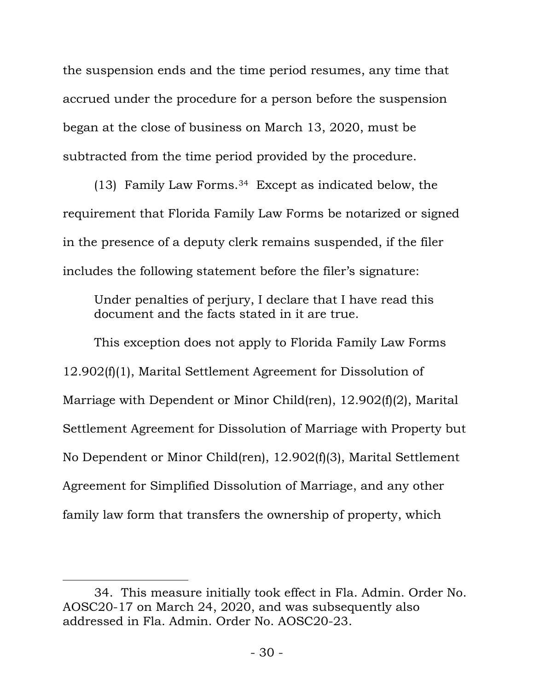the suspension ends and the time period resumes, any time that accrued under the procedure for a person before the suspension began at the close of business on March 13, 2020, must be subtracted from the time period provided by the procedure.

(13) Family Law Forms.[34](#page-29-0) Except as indicated below, the requirement that Florida Family Law Forms be notarized or signed in the presence of a deputy clerk remains suspended, if the filer includes the following statement before the filer's signature:

Under penalties of perjury, I declare that I have read this document and the facts stated in it are true.

This exception does not apply to Florida Family Law Forms 12.902(f)(1), Marital Settlement Agreement for Dissolution of Marriage with Dependent or Minor Child(ren), 12.902(f)(2), Marital Settlement Agreement for Dissolution of Marriage with Property but No Dependent or Minor Child(ren), 12.902(f)(3), Marital Settlement Agreement for Simplified Dissolution of Marriage, and any other family law form that transfers the ownership of property, which

<span id="page-29-0"></span><sup>34.</sup> This measure initially took effect in Fla. Admin. Order No. AOSC20-17 on March 24, 2020, and was subsequently also addressed in Fla. Admin. Order No. AOSC20-23.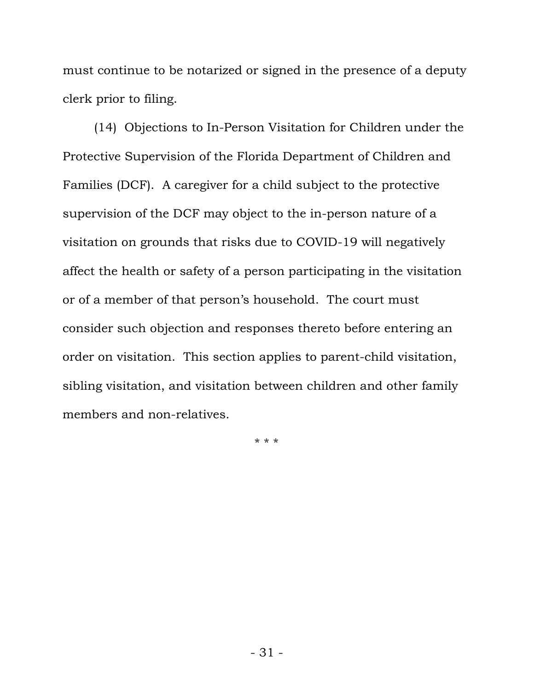must continue to be notarized or signed in the presence of a deputy clerk prior to filing.

(14) Objections to In-Person Visitation for Children under the Protective Supervision of the Florida Department of Children and Families (DCF). A caregiver for a child subject to the protective supervision of the DCF may object to the in-person nature of a visitation on grounds that risks due to COVID-19 will negatively affect the health or safety of a person participating in the visitation or of a member of that person's household. The court must consider such objection and responses thereto before entering an order on visitation. This section applies to parent-child visitation, sibling visitation, and visitation between children and other family members and non-relatives.

\* \* \*